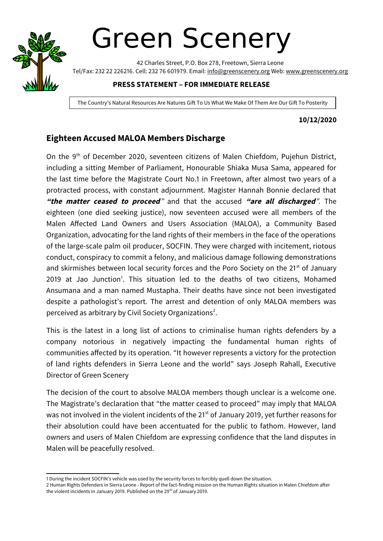

# Green Scenery

42 Charles Street, P.O. Box 278, Freetown, Sierra Leone Tel/Fax: 232 22 226216. Cell: 232 76 601979. Email: info@greenscenery.org Web: www.greenscenery.org

### **PRESS STATEMENT – FOR IMMEDIATE RELEASE**

The Country's Natural Resources Are Natures Gift To Us What We Make Of Them Are Our Gift To Posterity

### **10/12/2020**

## **Eighteen Accused MALOA Members Discharge**

On the 9<sup>th</sup> of December 2020, seventeen citizens of Malen Chiefdom, Pujehun District, including a sitting Member of Parliament, Honourable Shiaka Musa Sama, appeared for the last time before the Magistrate Court No.1 in Freetown, after almost two years of a protracted process, with constant adjournment. Magister Hannah Bonnie declared that **"the matter ceased to proceed**" and that the accused **"are all discharged**". The eighteen (one died seeking justice), now seventeen accused were all members of the Malen Affected Land Owners and Users Association (MALOA), a Community Based Organization, advocating for the land rights of their members in the face of the operations of the large-scale palm oil producer, SOCFIN. They were charged with incitement, riotous conduct, conspiracy to commit a felony, and malicious damage following demonstrations and skirmishes between local security forces and the Poro Society on the 21<sup>st</sup> of January 20[1](#page-0-0)9 at Jao Junction<sup>1</sup>. This situation led to the deaths of two citizens, Mohamed Ansumana and a man named Mustapha. Their deaths have since not been investigated despite a pathologist's report. The arrest and detention of only MALOA members was perceived as arbitrary by Civil Society Organizations<sup>[2](#page-0-1)</sup>.

This is the latest in a long list of actions to criminalise human rights defenders by a company notorious in negatively impacting the fundamental human rights of communities affected by its operation. "It however represents a victory for the protection of land rights defenders in Sierra Leone and the world" says Joseph Rahall, Executive Director of Green Scenery

The decision of the court to absolve MALOA members though unclear is a welcome one. The Magistrate's declaration that "the matter ceased to proceed" may imply that MALOA was not involved in the violent incidents of the 21<sup>st</sup> of January 2019, yet further reasons for their absolution could have been accentuated for the public to fathom. However, land owners and users of Malen Chiefdom are expressing confidence that the land disputes in Malen will be peacefully resolved.

<span id="page-0-0"></span><sup>1</sup> During the incident SOCFIN's vehicle was used by the security forces to forcibly quell down the situation.

<span id="page-0-1"></span><sup>2</sup> Human Rights Defenders in Sierra Leone - Report of the fact-finding mission on the Human Rights situation in Malen Chiefdom after the violent incidents in January 2019. Published on the  $29<sup>th</sup>$  of January 2019.